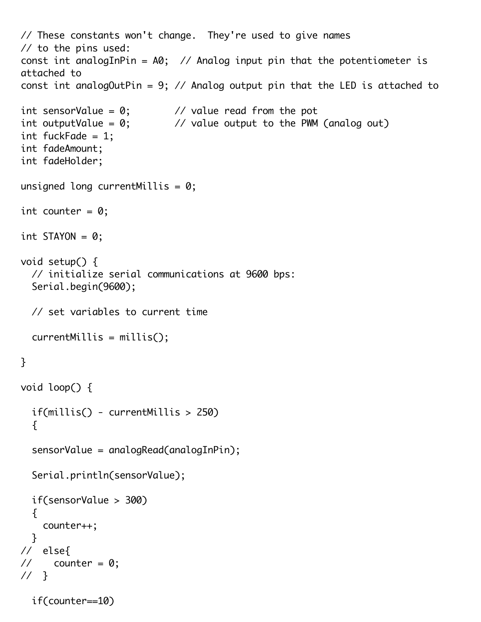```
// These constants won't change. They're used to give names
// to the pins used:
const int analogInPin = A0; // Analog input pin that the potentiometer is
attached to
const int analogOutPin = 9; // Analog output pin that the LED is attached to
int sensorValue = \emptyset; // value read from the pot
int outputValue = 0; \frac{1}{2} value output to the PWM (analog out)
int fuckFade = 1;
int fadeAmount;
int fadeHolder;
unsigned long currentMillis = 0;
int counter = 0;
int STAYON = 0;
void setup() {
   // initialize serial communications at 9600 bps:
   Serial.begin(9600);
   // set variables to current time
   currentMillis = millis();
}
void loop() {
   if(millis() - currentMillis > 250)
  \{ sensorValue = analogRead(analogInPin);
   Serial.println(sensorValue);
   if(sensorValue > 300)
   {
     counter++;
   }
// else{
\frac{1}{2} counter = 0;
// }
   if(counter==10)
```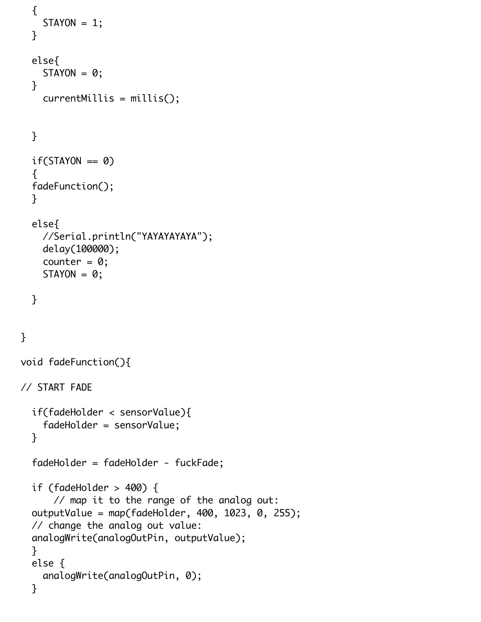```
 {
    STAYON = 1; }
   else{
    STAYON = 0; }
     currentMillis = millis();
   }
  if(STAYON == 0) {
   fadeFunction();
   }
   else{
     //Serial.println("YAYAYAYAYA");
     delay(100000);
    counter = 0;
    STAYON = 0;
   }
}
void fadeFunction(){
// START FADE
   if(fadeHolder < sensorValue){
     fadeHolder = sensorValue;
   }
   fadeHolder = fadeHolder - fuckFade;
   if (fadeHolder > 400) {
       // map it to the range of the analog out:
   outputValue = map(fadeHolder, 400, 1023, 0, 255);
   // change the analog out value:
   analogWrite(analogOutPin, outputValue);
   }
   else {
     analogWrite(analogOutPin, 0);
   }
```